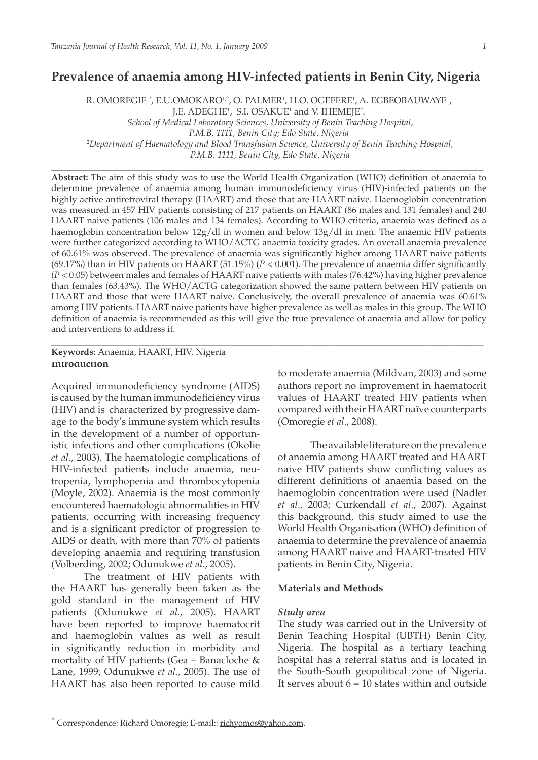# **Prevalence of anaemia among HIV-infected patients in Benin City, Nigeria**

R. OMOREGIE'', E.U.OMOKARO<sup>1,2</sup>, O. PALMER', H.O. OGEFERE', A. EGBEOBAUWAYE', J.E. ADEGHE<sup>1</sup>, S.I. OSAKUE<sup>1</sup> and V. IHEMEJE<sup>2</sup>. 1 *School of Medical Laboratory Sciences, University of Benin Teaching Hospital, P.M.B. 1111, Benin City; Edo State, Nigeria* 2 *Department of Haematology and Blood Transfusion Science, University of Benin Teaching Hospital, P.M.B. 1111, Benin City, Edo State, Nigeria*

**\_\_\_\_\_\_\_\_\_\_\_\_\_\_\_\_\_\_\_\_\_\_\_\_\_\_\_\_\_\_\_\_\_\_\_\_\_\_\_\_\_\_\_\_\_\_\_\_\_\_\_\_\_\_\_\_\_\_\_\_\_\_\_\_\_\_\_\_\_\_\_\_\_\_\_\_\_\_\_\_\_\_\_\_\_\_\_**

**Abstract:** The aim of this study was to use the World Health Organization (WHO) definition of anaemia to determine prevalence of anaemia among human immunodeficiency virus (HIV)-infected patients on the highly active antiretroviral therapy (HAART) and those that are HAART naive. Haemoglobin concentration was measured in 457 HIV patients consisting of 217 patients on HAART (86 males and 131 females) and 240 HAART naive patients (106 males and 134 females). According to WHO criteria, anaemia was defined as a haemoglobin concentration below 12g/dl in women and below 13g/dl in men. The anaemic HIV patients were further categorized according to WHO/ACTG anaemia toxicity grades. An overall anaemia prevalence of 60.61% was observed. The prevalence of anaemia was significantly higher among HAART naive patients (69.17%) than in HIV patients on HAART (51.15%) (*P* < 0.001). The prevalence of anaemia differ significantly (*P* < 0.05) between males and females of HAART naive patients with males (76.42%) having higher prevalence than females (63.43%). The WHO/ACTG categorization showed the same pattern between HIV patients on HAART and those that were HAART naive. Conclusively, the overall prevalence of anaemia was 60.61% among HIV patients. HAART naive patients have higher prevalence as well as males in this group. The WHO definition of anaemia is recommended as this will give the true prevalence of anaemia and allow for policy and interventions to address it.

\_\_\_\_\_\_\_\_\_\_\_\_\_\_\_\_\_\_\_\_\_\_\_\_\_\_\_\_\_\_\_\_\_\_\_\_\_\_\_\_\_\_\_\_\_\_\_\_\_\_\_\_\_\_\_\_\_\_\_\_\_\_\_\_\_\_\_\_\_\_\_\_\_\_\_\_\_\_\_\_\_\_\_\_\_\_\_

# **Keywords:** Anaemia, HAART, HIV, Nigeria **Introduction**

Acquired immunodeficiency syndrome (AIDS) is caused by the human immunodeficiency virus (HIV) and is characterized by progressive damage to the body's immune system which results in the development of a number of opportunistic infections and other complications (Okolie *et al*., 2003). The haematologic complications of HIV-infected patients include anaemia, neutropenia, lymphopenia and thrombocytopenia (Moyle, 2002). Anaemia is the most commonly encountered haematologic abnormalities in HIV patients, occurring with increasing frequency and is a significant predictor of progression to AIDS or death, with more than 70% of patients developing anaemia and requiring transfusion (Volberding, 2002; Odunukwe *et al*., 2005).

The treatment of HIV patients with the HAART has generally been taken as the gold standard in the management of HIV patients (Odunukwe *et al.,* 2005). HAART have been reported to improve haematocrit and haemoglobin values as well as result in significantly reduction in morbidity and mortality of HIV patients (Gea – Banacloche & Lane, 1999; Odunukwe *et al.,* 2005). The use of HAART has also been reported to cause mild

to moderate anaemia (Mildvan, 2003) and some authors report no improvement in haematocrit values of HAART treated HIV patients when compared with their HAART naïve counterparts (Omoregie *et al*., 2008).

The available literature on the prevalence of anaemia among HAART treated and HAART naive HIV patients show conflicting values as different definitions of anaemia based on the haemoglobin concentration were used (Nadler *et al*., 2003; Curkendall *et al*., 2007). Against this background, this study aimed to use the World Health Organisation (WHO) definition of anaemia to determine the prevalence of anaemia among HAART naive and HAART-treated HIV patients in Benin City, Nigeria.

# **Materials and Methods**

#### *Study area*

The study was carried out in the University of Benin Teaching Hospital (UBTH) Benin City, Nigeria. The hospital as a tertiary teaching hospital has a referral status and is located in the South-South geopolitical zone of Nigeria. It serves about  $6 - 10$  states within and outside

<sup>\*</sup> Correspondence: Richard Omoregie; E-mail:: richyomos@yahoo.com.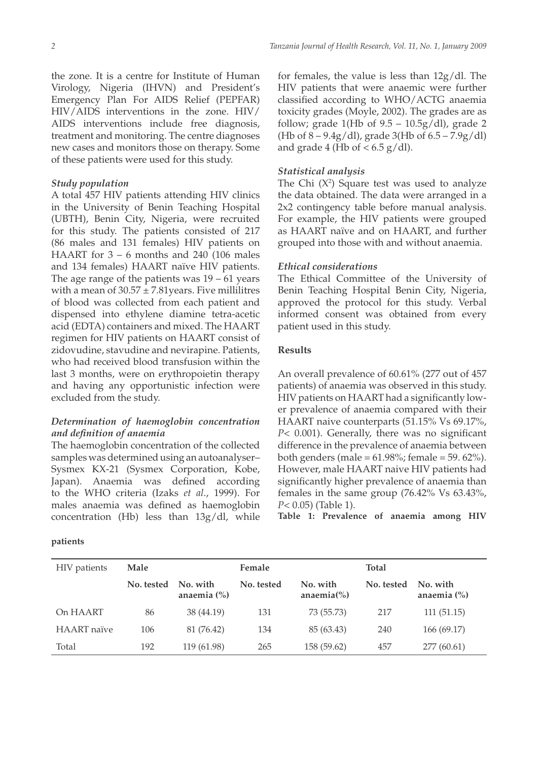the zone. It is a centre for Institute of Human Virology, Nigeria (IHVN) and President's Emergency Plan For AIDS Relief (PEPFAR) HIV/AIDS interventions in the zone. HIV/ AIDS interventions include free diagnosis, treatment and monitoring. The centre diagnoses new cases and monitors those on therapy. Some of these patients were used for this study.

#### *Study population*

A total 457 HIV patients attending HIV clinics in the University of Benin Teaching Hospital (UBTH), Benin City, Nigeria, were recruited for this study. The patients consisted of 217 (86 males and 131 females) HIV patients on HAART for  $3 - 6$  months and 240 (106 males and 134 females) HAART naïve HIV patients. The age range of the patients was  $19 - 61$  years with a mean of  $30.57 \pm 7.81$ years. Five millilitres of blood was collected from each patient and dispensed into ethylene diamine tetra-acetic acid (EDTA) containers and mixed. The HAART regimen for HIV patients on HAART consist of zidovudine, stavudine and nevirapine. Patients, who had received blood transfusion within the last 3 months, were on erythropoietin therapy and having any opportunistic infection were excluded from the study.

### *Determination of haemoglobin concentration and definition of anaemia*

The haemoglobin concentration of the collected samples was determined using an autoanalyser– Sysmex KX-21 (Sysmex Corporation, Kobe, Japan). Anaemia was defined according to the WHO criteria (Izaks *et al*., 1999). For males anaemia was defined as haemoglobin concentration (Hb) less than 13g/dl, while

**patients** 

for females, the value is less than 12g/dl. The HIV patients that were anaemic were further classified according to WHO/ACTG anaemia toxicity grades (Moyle, 2002). The grades are as follow; grade 1(Hb of  $9.5 - 10.5g/dl$ ), grade 2 (Hb of  $8 - 9.4g/dl$ ), grade 3(Hb of  $6.5 - 7.9g/dl$ ) and grade 4 (Hb of  $< 6.5$  g/dl).

#### *Statistical analysis*

The Chi  $(X^2)$  Square test was used to analyze the data obtained. The data were arranged in a 2x2 contingency table before manual analysis. For example, the HIV patients were grouped as HAART naïve and on HAART, and further grouped into those with and without anaemia.

### *Ethical considerations*

The Ethical Committee of the University of Benin Teaching Hospital Benin City, Nigeria, approved the protocol for this study. Verbal informed consent was obtained from every patient used in this study.

### **Results**

An overall prevalence of 60.61% (277 out of 457 patients) of anaemia was observed in this study. HIV patients on HAART had a significantly lower prevalence of anaemia compared with their HAART naive counterparts (51.15% Vs 69.17%, *P*< 0.001). Generally, there was no significant difference in the prevalence of anaemia between both genders (male =  $61.98\%$ ; female =  $59.62\%$ ). However, male HAART naive HIV patients had significantly higher prevalence of anaemia than females in the same group (76.42% Vs 63.43%, *P*< 0.05) (Table 1).

**Table 1: Prevalence of anaemia among HIV** 

| <b>HIV</b> patients | Male       |                             | Female     |                                                | <b>Total</b> |                             |
|---------------------|------------|-----------------------------|------------|------------------------------------------------|--------------|-----------------------------|
|                     | No. tested | No. with<br>anaemia $(\% )$ | No. tested | No. with<br>anaemia $\left(\frac{0}{0}\right)$ | No. tested   | No. with<br>anaemia $(\% )$ |
| On HAART            | 86         | 38 (44.19)                  | 131        | 73 (55.73)                                     | 217          | 111(51.15)                  |
| HAART naïve         | 106        | 81 (76.42)                  | 134        | 85 (63.43)                                     | 240          | 166(69.17)                  |
| Total               | 192        | 119 (61.98)                 | 265        | 158 (59.62)                                    | 457          | 277 (60.61)                 |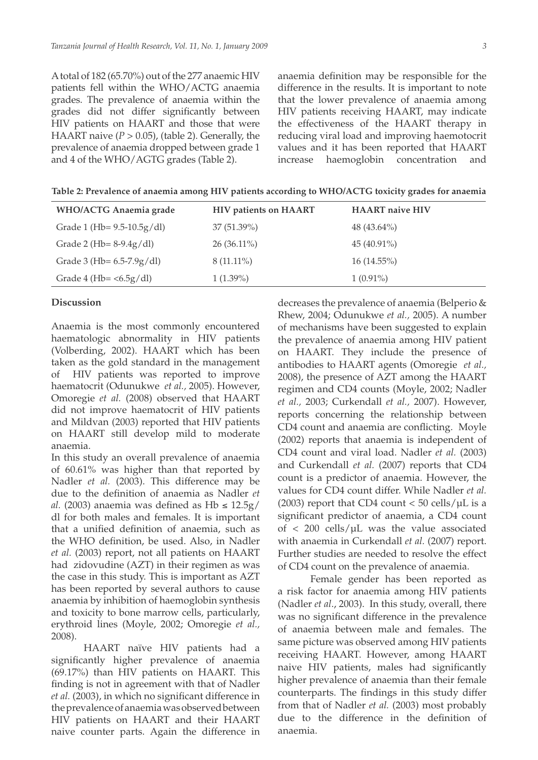A total of 182 (65.70%) out of the 277 anaemic HIV patients fell within the WHO/ACTG anaemia grades. The prevalence of anaemia within the grades did not differ significantly between HIV patients on HAART and those that were HAART naive  $(P > 0.05)$ , (table 2). Generally, the prevalence of anaemia dropped between grade 1 and 4 of the WHO/AGTG grades (Table 2).

anaemia definition may be responsible for the difference in the results. It is important to note that the lower prevalence of anaemia among HIV patients receiving HAART, may indicate the effectiveness of the HAART therapy in reducing viral load and improving haemotocrit values and it has been reported that HAART increase haemoglobin concentration and

**Table 2: Prevalence of anaemia among HIV patients according to WHO/ACTG toxicity grades for anaemia**

| <b>WHO/ACTG Anaemia grade</b>          | <b>HIV patients on HAART</b> | <b>HAART</b> naive HIV |
|----------------------------------------|------------------------------|------------------------|
| Grade 1 (Hb= $9.5-10.5g/dl$ )          | 37(51.39%)                   | 48 $(43.64\%)$         |
| Grade 2 (Hb= $8-9.4g/dl$ )             | $26(36.11\%)$                | $45(40.91\%)$          |
| Grade 3 (Hb= $6.5-7.9g/dl$ )           | $8(11.11\%)$                 | $16(14.55\%)$          |
| Grade 4 (Hb= $\langle 6.5g/dl \rangle$ | $1(1.39\%)$                  | $1(0.91\%)$            |

#### **Discussion**

Anaemia is the most commonly encountered haematologic abnormality in HIV patients (Volberding, 2002). HAART which has been taken as the gold standard in the management of HIV patients was reported to improve haematocrit (Odunukwe *et al.,* 2005). However, Omoregie *et al.* (2008) observed that HAART did not improve haematocrit of HIV patients and Mildvan (2003) reported that HIV patients on HAART still develop mild to moderate anaemia.

In this study an overall prevalence of anaemia of 60.61% was higher than that reported by Nadler *et al.* (2003). This difference may be due to the definition of anaemia as Nadler *et al.* (2003) anaemia was defined as  $Hb \le 12.5g/$ dl for both males and females. It is important that a unified definition of anaemia, such as the WHO definition, be used. Also, in Nadler *et al.* (2003) report, not all patients on HAART had zidovudine (AZT) in their regimen as was the case in this study. This is important as AZT has been reported by several authors to cause anaemia by inhibition of haemoglobin synthesis and toxicity to bone marrow cells, particularly, erythroid lines (Moyle, 2002; Omoregie *et al.,*  2008).

HAART naïve HIV patients had a significantly higher prevalence of anaemia (69.17%) than HIV patients on HAART. This finding is not in agreement with that of Nadler *et al.* (2003), in which no significant difference in the prevalence of anaemia was observed between HIV patients on HAART and their HAART naive counter parts. Again the difference in

decreases the prevalence of anaemia (Belperio & Rhew, 2004; Odunukwe *et al.,* 2005). A number of mechanisms have been suggested to explain the prevalence of anaemia among HIV patient on HAART. They include the presence of antibodies to HAART agents (Omoregie *et al.,*  2008), the presence of AZT among the HAART regimen and CD4 counts (Moyle, 2002; Nadler *et al.,* 2003; Curkendall *et al.,* 2007). However, reports concerning the relationship between CD4 count and anaemia are conflicting. Moyle (2002) reports that anaemia is independent of CD4 count and viral load. Nadler *et al.* (2003) and Curkendall *et al.* (2007) reports that CD4 count is a predictor of anaemia. However, the values for CD4 count differ. While Nadler *et al.*  (2003) report that CD4 count  $<$  50 cells/ $\mu$ L is a significant predictor of anaemia, a CD4 count of  $\langle$  200 cells/ $\mu$ L was the value associated with anaemia in Curkendall *et al.* (2007) report. Further studies are needed to resolve the effect of CD4 count on the prevalence of anaemia.

Female gender has been reported as a risk factor for anaemia among HIV patients (Nadler *et al*., 2003). In this study, overall, there was no significant difference in the prevalence of anaemia between male and females. The same picture was observed among HIV patients receiving HAART. However, among HAART naive HIV patients, males had significantly higher prevalence of anaemia than their female counterparts. The findings in this study differ from that of Nadler *et al.* (2003) most probably due to the difference in the definition of anaemia.